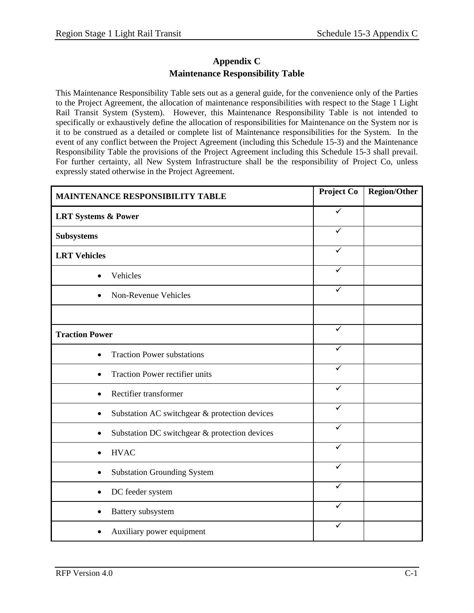## **Appendix C Maintenance Responsibility Table**

This Maintenance Responsibility Table sets out as a general guide, for the convenience only of the Parties to the Project Agreement, the allocation of maintenance responsibilities with respect to the Stage 1 Light Rail Transit System (System). However, this Maintenance Responsibility Table is not intended to specifically or exhaustively define the allocation of responsibilities for Maintenance on the System nor is it to be construed as a detailed or complete list of Maintenance responsibilities for the System. In the event of any conflict between the Project Agreement (including this Schedule 15-3) and the Maintenance Responsibility Table the provisions of the Project Agreement including this Schedule 15-3 shall prevail. For further certainty, all New System Infrastructure shall be the responsibility of Project Co, unless expressly stated otherwise in the Project Agreement.

| <b>MAINTENANCE RESPONSIBILITY TABLE</b>            | <b>Project Co</b> | <b>Region/Other</b> |
|----------------------------------------------------|-------------------|---------------------|
| <b>LRT Systems &amp; Power</b>                     | $\checkmark$      |                     |
| <b>Subsystems</b>                                  | ✓                 |                     |
| <b>LRT</b> Vehicles                                | ✓                 |                     |
| Vehicles<br>$\bullet$                              | ✓                 |                     |
| Non-Revenue Vehicles                               | ✓                 |                     |
|                                                    |                   |                     |
| <b>Traction Power</b>                              | $\checkmark$      |                     |
| <b>Traction Power substations</b>                  | $\checkmark$      |                     |
| Traction Power rectifier units                     | $\checkmark$      |                     |
| Rectifier transformer                              | ✓                 |                     |
| Substation AC switchgear & protection devices<br>٠ | ✓                 |                     |
| Substation DC switchgear & protection devices<br>٠ | ✓                 |                     |
| <b>HVAC</b>                                        | ✓                 |                     |
| <b>Substation Grounding System</b>                 | ✓                 |                     |
| DC feeder system                                   | ✓                 |                     |
| Battery subsystem                                  | ✓                 |                     |
| Auxiliary power equipment                          | ✓                 |                     |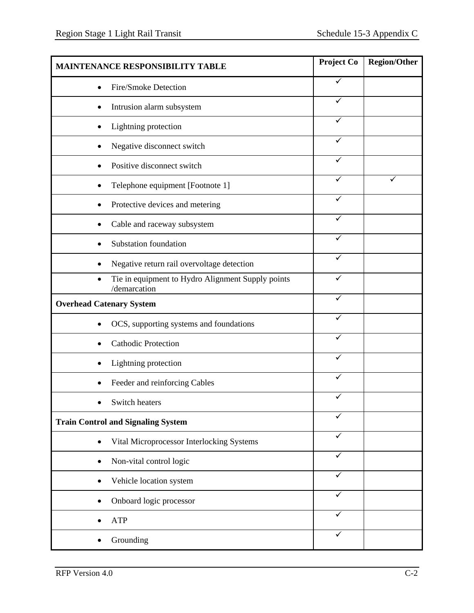| <b>MAINTENANCE RESPONSIBILITY TABLE</b>                           | Project Co   | <b>Region/Other</b> |
|-------------------------------------------------------------------|--------------|---------------------|
| Fire/Smoke Detection                                              | ✓            |                     |
| Intrusion alarm subsystem                                         | ✓            |                     |
| Lightning protection                                              | ✓            |                     |
| Negative disconnect switch                                        |              |                     |
| Positive disconnect switch                                        | ✓            |                     |
| Telephone equipment [Footnote 1]                                  |              | ✓                   |
| Protective devices and metering                                   | $\checkmark$ |                     |
| Cable and raceway subsystem                                       |              |                     |
| Substation foundation                                             | ✓            |                     |
| Negative return rail overvoltage detection                        | ✓            |                     |
| Tie in equipment to Hydro Alignment Supply points<br>/demarcation | $\checkmark$ |                     |
| <b>Overhead Catenary System</b>                                   |              |                     |
| OCS, supporting systems and foundations                           | ✓            |                     |
| <b>Cathodic Protection</b>                                        |              |                     |
| Lightning protection                                              | ✓            |                     |
| Feeder and reinforcing Cables                                     |              |                     |
| Switch heaters                                                    |              |                     |
| <b>Train Control and Signaling System</b>                         | $\checkmark$ |                     |
| Vital Microprocessor Interlocking Systems                         | ✓            |                     |
| Non-vital control logic                                           | ✓            |                     |
| Vehicle location system                                           | ✓            |                     |
| Onboard logic processor                                           | ✓            |                     |
| <b>ATP</b>                                                        | $\checkmark$ |                     |
| Grounding                                                         | ✓            |                     |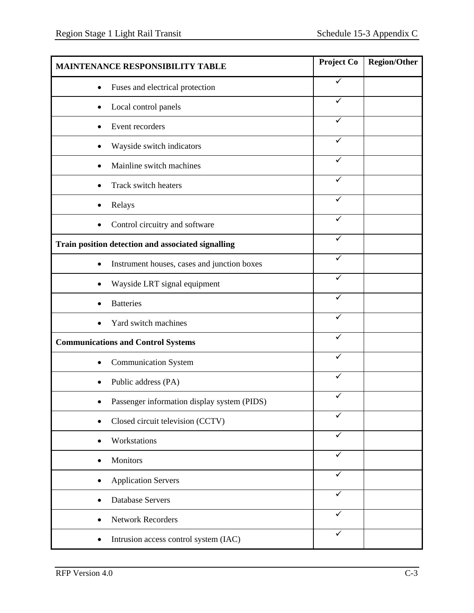| MAINTENANCE RESPONSIBILITY TABLE                   | Project Co   | <b>Region/Other</b> |
|----------------------------------------------------|--------------|---------------------|
| Fuses and electrical protection<br>٠               | ✓            |                     |
| Local control panels                               | ✓            |                     |
| Event recorders                                    | ✓            |                     |
| Wayside switch indicators                          | ✓            |                     |
| Mainline switch machines                           | ✓            |                     |
| Track switch heaters                               | ✓            |                     |
| Relays                                             | ✓            |                     |
| Control circuitry and software                     |              |                     |
| Train position detection and associated signalling |              |                     |
| Instrument houses, cases and junction boxes        | ✓            |                     |
| Wayside LRT signal equipment                       | $\checkmark$ |                     |
| <b>Batteries</b>                                   |              |                     |
| Yard switch machines                               | ✓            |                     |
| <b>Communications and Control Systems</b>          | ✓            |                     |
| <b>Communication System</b>                        | ✓            |                     |
| Public address (PA)                                |              |                     |
| Passenger information display system (PIDS)        |              |                     |
| Closed circuit television (CCTV)                   | $\checkmark$ |                     |
| Workstations                                       | ✓            |                     |
| Monitors                                           | $\checkmark$ |                     |
| <b>Application Servers</b>                         | ✓            |                     |
| <b>Database Servers</b>                            | ✓            |                     |
| <b>Network Recorders</b>                           | ✓            |                     |
| Intrusion access control system (IAC)<br>٠         | ✓            |                     |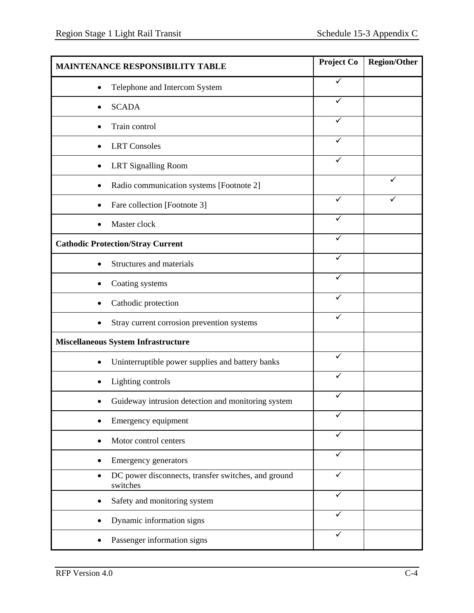| <b>MAINTENANCE RESPONSIBILITY TABLE</b>                         | Project Co   | <b>Region/Other</b> |
|-----------------------------------------------------------------|--------------|---------------------|
| Telephone and Intercom System                                   | ✓            |                     |
| <b>SCADA</b>                                                    | ✓            |                     |
| Train control                                                   | ✓            |                     |
| <b>LRT</b> Consoles                                             |              |                     |
| <b>LRT</b> Signalling Room                                      | ✓            |                     |
| Radio communication systems [Footnote 2]                        |              | ✓                   |
| Fare collection [Footnote 3]                                    | ✓            |                     |
| Master clock                                                    |              |                     |
| <b>Cathodic Protection/Stray Current</b>                        | ✓            |                     |
| Structures and materials                                        | ✓            |                     |
| Coating systems                                                 | $\checkmark$ |                     |
| Cathodic protection                                             | ✓            |                     |
| Stray current corrosion prevention systems                      | ✓            |                     |
| <b>Miscellaneous System Infrastructure</b>                      |              |                     |
| Uninterruptible power supplies and battery banks                | ✓            |                     |
| Lighting controls                                               |              |                     |
| Guideway intrusion detection and monitoring system              |              |                     |
| Emergency equipment                                             | ✓            |                     |
| Motor control centers                                           | ✓            |                     |
| Emergency generators                                            | ✓            |                     |
| DC power disconnects, transfer switches, and ground<br>switches | ✓            |                     |
| Safety and monitoring system                                    | ✓            |                     |
| Dynamic information signs                                       | ✓            |                     |
| Passenger information signs                                     | ✓            |                     |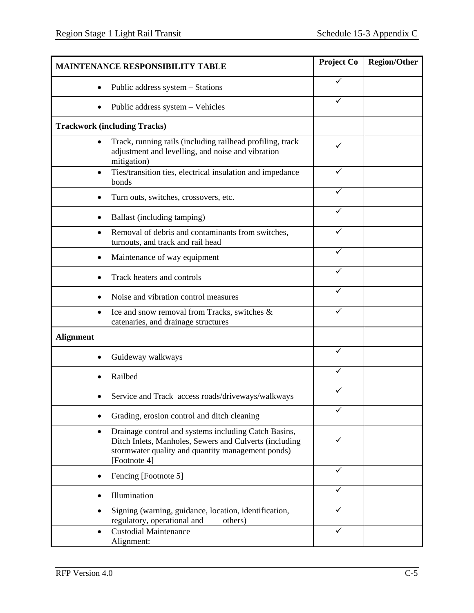| <b>MAINTENANCE RESPONSIBILITY TABLE</b>                                                                                                                                                          | <b>Project Co</b> | <b>Region/Other</b> |
|--------------------------------------------------------------------------------------------------------------------------------------------------------------------------------------------------|-------------------|---------------------|
| Public address system - Stations<br>$\bullet$                                                                                                                                                    | ✓                 |                     |
| Public address system - Vehicles                                                                                                                                                                 | ✓                 |                     |
| <b>Trackwork (including Tracks)</b>                                                                                                                                                              |                   |                     |
| Track, running rails (including railhead profiling, track<br>adjustment and levelling, and noise and vibration<br>mitigation)                                                                    | ✓                 |                     |
| Ties/transition ties, electrical insulation and impedance<br>bonds                                                                                                                               | ✓                 |                     |
| Turn outs, switches, crossovers, etc.                                                                                                                                                            |                   |                     |
| Ballast (including tamping)                                                                                                                                                                      |                   |                     |
| Removal of debris and contaminants from switches,<br>turnouts, and track and rail head                                                                                                           | ✓                 |                     |
| Maintenance of way equipment                                                                                                                                                                     | ✓                 |                     |
| Track heaters and controls                                                                                                                                                                       | ✓                 |                     |
| Noise and vibration control measures                                                                                                                                                             | ✓                 |                     |
| Ice and snow removal from Tracks, switches &<br>catenaries, and drainage structures                                                                                                              | ✓                 |                     |
| <b>Alignment</b>                                                                                                                                                                                 |                   |                     |
| Guideway walkways                                                                                                                                                                                | ✓                 |                     |
| Railbed                                                                                                                                                                                          | ✓                 |                     |
| Service and Track access roads/driveways/walkways                                                                                                                                                | ✓                 |                     |
| Grading, erosion control and ditch cleaning                                                                                                                                                      |                   |                     |
| Drainage control and systems including Catch Basins,<br>$\bullet$<br>Ditch Inlets, Manholes, Sewers and Culverts (including<br>stormwater quality and quantity management ponds)<br>[Footnote 4] |                   |                     |
| Fencing [Footnote 5]                                                                                                                                                                             | ✓                 |                     |
| Illumination                                                                                                                                                                                     |                   |                     |
| Signing (warning, guidance, location, identification,<br>regulatory, operational and<br>others)                                                                                                  | ✓                 |                     |
| <b>Custodial Maintenance</b><br>Alignment:                                                                                                                                                       | ✓                 |                     |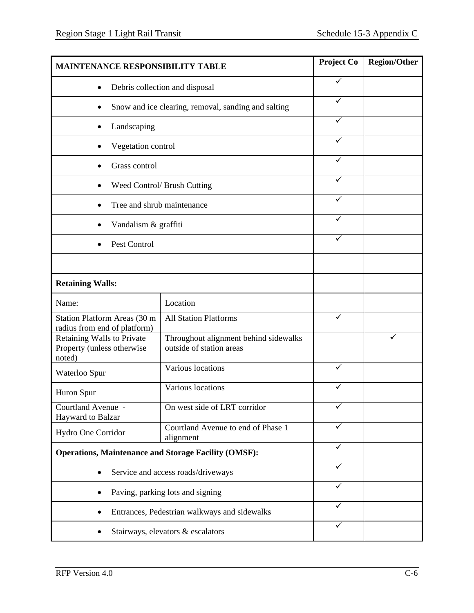| <b>MAINTENANCE RESPONSIBILITY TABLE</b>                            |                                                                   | Project Co   | <b>Region/Other</b> |
|--------------------------------------------------------------------|-------------------------------------------------------------------|--------------|---------------------|
| $\bullet$                                                          | Debris collection and disposal                                    | ✓            |                     |
|                                                                    | Snow and ice clearing, removal, sanding and salting               | ✓            |                     |
| Landscaping                                                        |                                                                   | ✓            |                     |
| Vegetation control                                                 |                                                                   | ✓            |                     |
| Grass control                                                      |                                                                   | ✓            |                     |
|                                                                    | Weed Control/ Brush Cutting                                       | ✓            |                     |
| Tree and shrub maintenance                                         |                                                                   | ✓            |                     |
| Vandalism & graffiti                                               |                                                                   |              |                     |
| Pest Control                                                       |                                                                   |              |                     |
|                                                                    |                                                                   |              |                     |
| <b>Retaining Walls:</b>                                            |                                                                   |              |                     |
| Name:                                                              | Location                                                          |              |                     |
| Station Platform Areas (30 m<br>radius from end of platform)       | <b>All Station Platforms</b>                                      | $\checkmark$ |                     |
| Retaining Walls to Private<br>Property (unless otherwise<br>noted) | Throughout alignment behind sidewalks<br>outside of station areas |              |                     |
| Waterloo Spur                                                      | Various locations                                                 | ✓            |                     |
| Huron Spur                                                         | Various locations                                                 |              |                     |
| Courtland Avenue -<br>Hayward to Balzar                            | On west side of LRT corridor                                      | ✓            |                     |
| Hydro One Corridor                                                 | Courtland Avenue to end of Phase 1<br>alignment                   | ✓            |                     |
| <b>Operations, Maintenance and Storage Facility (OMSF):</b>        |                                                                   | ✓            |                     |
|                                                                    | Service and access roads/driveways                                | ✓            |                     |
| Paving, parking lots and signing                                   |                                                                   | $\checkmark$ |                     |
|                                                                    | Entrances, Pedestrian walkways and sidewalks                      | ✓            |                     |
| Stairways, elevators & escalators                                  |                                                                   | ✓            |                     |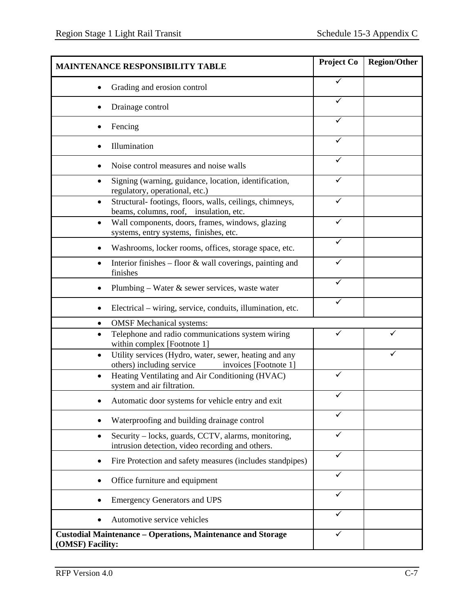| <b>MAINTENANCE RESPONSIBILITY TABLE</b>                                                                                   | Project Co | <b>Region/Other</b> |
|---------------------------------------------------------------------------------------------------------------------------|------------|---------------------|
| Grading and erosion control                                                                                               |            |                     |
| Drainage control                                                                                                          |            |                     |
| Fencing                                                                                                                   | ✓          |                     |
| Illumination                                                                                                              |            |                     |
| Noise control measures and noise walls                                                                                    | ✓          |                     |
| Signing (warning, guidance, location, identification,<br>regulatory, operational, etc.)                                   | ✓          |                     |
| Structural-footings, floors, walls, ceilings, chimneys,<br>$\bullet$<br>beams, columns, roof, insulation, etc.            |            |                     |
| Wall components, doors, frames, windows, glazing<br>$\bullet$<br>systems, entry systems, finishes, etc.                   | ✓          |                     |
| Washrooms, locker rooms, offices, storage space, etc.                                                                     | ✓          |                     |
| Interior finishes - floor & wall coverings, painting and<br>$\bullet$<br>finishes                                         | ✓          |                     |
| Plumbing – Water $\&$ sewer services, waste water                                                                         | ✓          |                     |
| Electrical – wiring, service, conduits, illumination, etc.                                                                |            |                     |
| <b>OMSF</b> Mechanical systems:                                                                                           |            |                     |
| Telephone and radio communications system wiring<br>within complex [Footnote 1]                                           | ✓          |                     |
| Utility services (Hydro, water, sewer, heating and any<br>$\bullet$<br>others) including service<br>invoices [Footnote 1] |            |                     |
| Heating Ventilating and Air Conditioning (HVAC)<br>system and air filtration.                                             | ✓          |                     |
| Automatic door systems for vehicle entry and exit                                                                         |            |                     |
| Waterproofing and building drainage control                                                                               |            |                     |
| Security – locks, guards, CCTV, alarms, monitoring,<br>intrusion detection, video recording and others.                   |            |                     |
| Fire Protection and safety measures (includes standpipes)                                                                 | ✓          |                     |
| Office furniture and equipment                                                                                            |            |                     |
| <b>Emergency Generators and UPS</b>                                                                                       | ✓          |                     |
| Automotive service vehicles                                                                                               |            |                     |
| <b>Custodial Maintenance - Operations, Maintenance and Storage</b><br>(OMSF) Facility:                                    | ✓          |                     |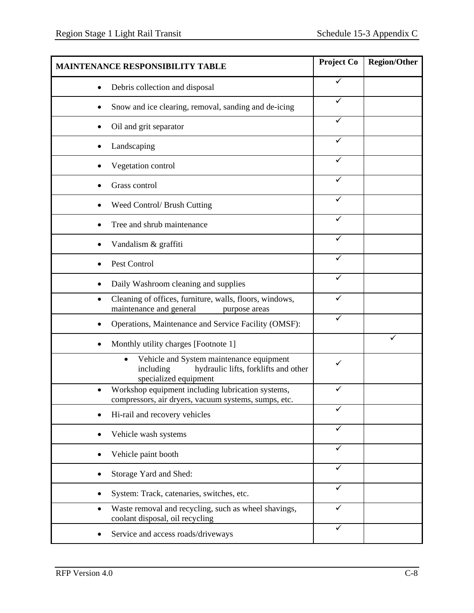| <b>MAINTENANCE RESPONSIBILITY TABLE</b>                                                                                     | Project Co | <b>Region/Other</b> |
|-----------------------------------------------------------------------------------------------------------------------------|------------|---------------------|
| Debris collection and disposal                                                                                              | ✓          |                     |
| Snow and ice clearing, removal, sanding and de-icing                                                                        |            |                     |
| Oil and grit separator                                                                                                      | ✓          |                     |
| Landscaping                                                                                                                 |            |                     |
| Vegetation control                                                                                                          | ✓          |                     |
| Grass control                                                                                                               | ✓          |                     |
| Weed Control/ Brush Cutting                                                                                                 | ✓          |                     |
| Tree and shrub maintenance                                                                                                  |            |                     |
| Vandalism & graffiti                                                                                                        |            |                     |
| Pest Control                                                                                                                | ✓          |                     |
| Daily Washroom cleaning and supplies                                                                                        | ✓          |                     |
| Cleaning of offices, furniture, walls, floors, windows,<br>٠<br>maintenance and general<br>purpose areas                    |            |                     |
| Operations, Maintenance and Service Facility (OMSF):                                                                        | ✓          |                     |
| Monthly utility charges [Footnote 1]                                                                                        |            |                     |
| Vehicle and System maintenance equipment<br>٠<br>hydraulic lifts, forklifts and other<br>including<br>specialized equipment | ✓          |                     |
| Workshop equipment including lubrication systems,<br>compressors, air dryers, vacuum systems, sumps, etc.                   | ✓          |                     |
| Hi-rail and recovery vehicles                                                                                               | ✓          |                     |
| Vehicle wash systems                                                                                                        |            |                     |
| Vehicle paint booth                                                                                                         |            |                     |
| Storage Yard and Shed:                                                                                                      | ✓          |                     |
| System: Track, catenaries, switches, etc.                                                                                   | ✓          |                     |
| Waste removal and recycling, such as wheel shavings,<br>coolant disposal, oil recycling                                     | ✓          |                     |
| Service and access roads/driveways                                                                                          | ✓          |                     |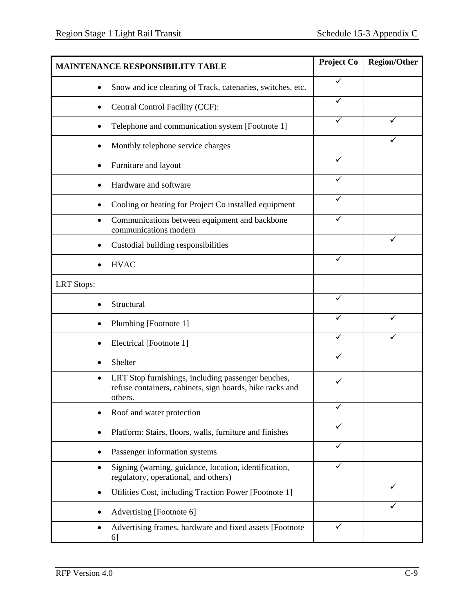|                   | <b>MAINTENANCE RESPONSIBILITY TABLE</b>                                                                        | Project Co   | <b>Region/Other</b> |
|-------------------|----------------------------------------------------------------------------------------------------------------|--------------|---------------------|
|                   | Snow and ice clearing of Track, catenaries, switches, etc.                                                     | ✓            |                     |
|                   | Central Control Facility (CCF):                                                                                | ✓            |                     |
|                   | Telephone and communication system [Footnote 1]                                                                | ✓            |                     |
|                   | Monthly telephone service charges                                                                              |              |                     |
|                   | Furniture and layout                                                                                           | ✓            |                     |
|                   | Hardware and software                                                                                          | ✓            |                     |
|                   | Cooling or heating for Project Co installed equipment                                                          | ✓            |                     |
|                   | Communications between equipment and backbone<br>communications modem                                          | ✓            |                     |
|                   | Custodial building responsibilities                                                                            |              |                     |
| <b>HVAC</b>       |                                                                                                                | $\checkmark$ |                     |
| <b>LRT</b> Stops: |                                                                                                                |              |                     |
| Structural        |                                                                                                                | ✓            |                     |
|                   | Plumbing [Footnote 1]                                                                                          | ✓            |                     |
|                   | Electrical [Footnote 1]                                                                                        |              |                     |
| Shelter           |                                                                                                                | ✓            |                     |
| ٠<br>others.      | LRT Stop furnishings, including passenger benches,<br>refuse containers, cabinets, sign boards, bike racks and | ✓            |                     |
|                   | Roof and water protection                                                                                      | ✓            |                     |
|                   | Platform: Stairs, floors, walls, furniture and finishes                                                        | ✓            |                     |
|                   | Passenger information systems                                                                                  | ✓            |                     |
|                   | Signing (warning, guidance, location, identification,<br>regulatory, operational, and others)                  | ✓            |                     |
|                   | Utilities Cost, including Traction Power [Footnote 1]                                                          |              |                     |
|                   | Advertising [Footnote 6]                                                                                       |              |                     |
| $\bullet$<br>6    | Advertising frames, hardware and fixed assets [Footnote                                                        | ✓            |                     |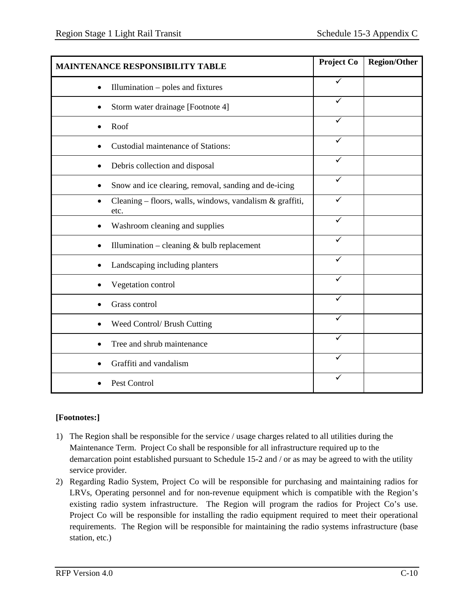| <b>MAINTENANCE RESPONSIBILITY TABLE</b>                          | Project Co   | <b>Region/Other</b> |
|------------------------------------------------------------------|--------------|---------------------|
| Illumination - poles and fixtures                                | $\checkmark$ |                     |
| Storm water drainage [Footnote 4]                                | ✓            |                     |
| Roof                                                             | ✓            |                     |
| <b>Custodial maintenance of Stations:</b>                        | ✓            |                     |
| Debris collection and disposal                                   | ✓            |                     |
| Snow and ice clearing, removal, sanding and de-icing             |              |                     |
| Cleaning - floors, walls, windows, vandalism & graffiti,<br>etc. | $\checkmark$ |                     |
| Washroom cleaning and supplies                                   | ✓            |                     |
| Illumination – cleaning $&$ bulb replacement                     | ✓            |                     |
| Landscaping including planters                                   |              |                     |
| Vegetation control                                               | ✓            |                     |
| Grass control                                                    | ✓            |                     |
| Weed Control/ Brush Cutting                                      | ✓            |                     |
| Tree and shrub maintenance                                       | ✓            |                     |
| Graffiti and vandalism                                           |              |                     |
| Pest Control                                                     | ✓            |                     |

## **[Footnotes:]**

- 1) The Region shall be responsible for the service / usage charges related to all utilities during the Maintenance Term. Project Co shall be responsible for all infrastructure required up to the demarcation point established pursuant to Schedule 15-2 and / or as may be agreed to with the utility service provider.
- 2) Regarding Radio System, Project Co will be responsible for purchasing and maintaining radios for LRVs, Operating personnel and for non-revenue equipment which is compatible with the Region's existing radio system infrastructure. The Region will program the radios for Project Co's use. Project Co will be responsible for installing the radio equipment required to meet their operational requirements. The Region will be responsible for maintaining the radio systems infrastructure (base station, etc.)